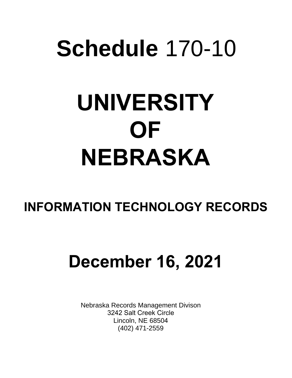# **Schedule** 170-10 **UNIVERSITY OF NEBRASKA**

### **INFORMATION TECHNOLOGY RECORDS**

## **December 16, 2021**

Nebraska Records Management Divison 3242 Salt Creek Circle Lincoln, NE 68504 (402) 471-2559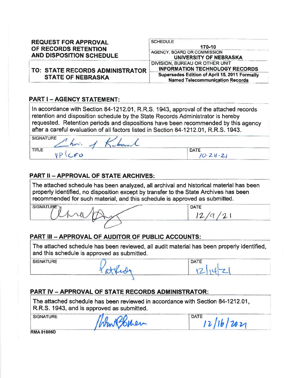| <b>REQUEST FOR APPROVAL</b><br>OF RECORDS RETENTION | <b>SCHEDULE</b><br>170-10                                                               |
|-----------------------------------------------------|-----------------------------------------------------------------------------------------|
| <b>AND DISPOSITION SCHEDULE</b>                     | AGENCY, BOARD OR COMMISSION<br>UNIVERSITY OF NEBRASKA                                   |
| TO: STATE RECORDS ADMINISTRATOR                     | DIVISION, BUREAU OR OTHER UNIT<br><b>INFORMATION TECHNOLOGY RECORDS</b>                 |
| <b>STATE OF NEBRASKA</b>                            | Supersedes Edition of April 15, 2011 Formally<br><b>Named Telecommunication Records</b> |

#### **PART I - AGENCY STATEMENT:**

In accordance with Section 84-1212.01, R.R.S. 1943, approval of the attached records retention and disposition schedule by the State Records Administrator is hereby requested. Retention periods and dispositions have been recommended by this agency after a careful evaluation of all factors listed in Section 84-1212.01, R.R.S. 1943.

| <b>SIGNATURE</b> | $\sim$<br>court |                              |
|------------------|-----------------|------------------------------|
| <b>TITLE</b>     | Fan N           | <b>DATE</b><br>$\sim$ $\sim$ |

#### **PART II - APPROVAL OF STATE ARCHIVES:**

The attached schedule has been analyzed, all archival and historical material has been properly identified, no disposition except by transfer to the State Archives has been recommended for such material, and this schedule is approved as submitted.

**SIGNATURE DATE**  $12/a/21$ 

#### **PART III - APPROVAL OF AUDITOR OF PUBLIC ACCOUNTS:**

The attached schedule has been reviewed, all audit material has been properly identified, and this schedule is approved as submitted.

**SIGNATURE** 

Patrid

**DATE**  $tZ$ 

#### **PART IV - APPROVAL OF STATE RECORDS ADMINISTRATOR:**

The attached schedule has been reviewed in accordance with Section 84-1212.01, R.R.S. 1943, and is approved as submitted.

**SIGNATURE** 

WinASBurer

DATE  $12/16/2021$ 

**RMA 01005D**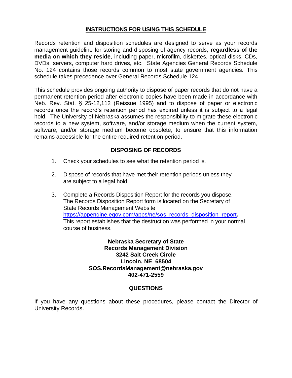#### **INSTRUCTIONS FOR USING THIS SCHEDULE**

Records retention and disposition schedules are designed to serve as your records management guideline for storing and disposing of agency records, **regardless of the media on which they reside**, including paper, microfilm, diskettes, optical disks, CDs, DVDs, servers, computer hard drives, etc. State Agencies General Records Schedule No. 124 contains those records common to most state government agencies. This schedule takes precedence over General Records Schedule 124.

This schedule provides ongoing authority to dispose of paper records that do not have a permanent retention period after electronic copies have been made in accordance with Neb. Rev. Stat. § 25-12,112 (Reissue 1995) and to dispose of paper or electronic records once the record's retention period has expired unless it is subject to a legal hold. The University of Nebraska assumes the responsibility to migrate these electronic records to a new system, software, and/or storage medium when the current system, software, and/or storage medium become obsolete, to ensure that this information remains accessible for the entire required retention period.

#### **DISPOSING OF RECORDS**

- 1. Check your schedules to see what the retention period is.
- 2. Dispose of records that have met their retention periods unless they are subject to a legal hold.
- 3. Complete a Records Disposition Report for the records you dispose. The Records Disposition Report form is located on the Secretary of State Records Management Website [https://appengine.egov.com/apps/ne/sos\\_records\\_disposition\\_report](https://appengine.egov.com/apps/ne/sos_records_disposition_report)**.** This report establishes that the destruction was performed in your normal course of business.

**Nebraska Secretary of State Records Management Division 3242 Salt Creek Circle Lincoln, NE 68504 SOS.RecordsManagement@nebraska.gov 402-471-2559**

#### **QUESTIONS**

If you have any questions about these procedures, please contact the Director of University Records.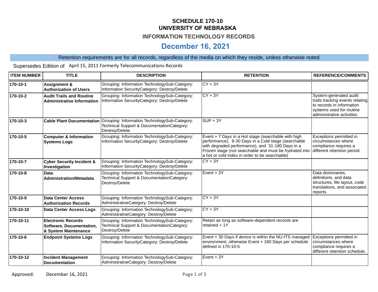#### **SCHEDULE 170-10 UNIVERSITY OF NEBRASKA**

#### **INFORMATION TECHNOLOGY RECORDS**

#### **December 16, 2021**

#### Retention requirements are for all records, regardless of the media on which they reside, unless otherwise noted.

Supersedes Edition of April 15, 2011 Formerly Telecommunications Records

| <b>ITEM NUMBER</b> | <b>TITLE</b>                                                                  | <b>DESCRIPTION</b>                                                                                                                      | <b>RETENTION</b>                                                                                                                                                                                                                                                                                         | <b>REFERENCE/COMMENTS</b>                                                                                                                        |
|--------------------|-------------------------------------------------------------------------------|-----------------------------------------------------------------------------------------------------------------------------------------|----------------------------------------------------------------------------------------------------------------------------------------------------------------------------------------------------------------------------------------------------------------------------------------------------------|--------------------------------------------------------------------------------------------------------------------------------------------------|
| 170-10-1           | <b>Assignment &amp;</b><br><b>Authorization of Users</b>                      | Grouping: Information TechnologySub-Category:<br>Information SecurityCategory: Destroy/Delete                                           | $CY + 3Y$                                                                                                                                                                                                                                                                                                |                                                                                                                                                  |
| 170-10-2           | <b>Audit Trails and Routine</b><br><b>Administrative Information</b>          | Grouping: Information TechnologySub-Category:<br>Information SecurityCategory: Destroy/Delete                                           | $CY + 3Y$                                                                                                                                                                                                                                                                                                | System-generated audit<br>trails tracking events relating<br>to records in information<br>systems used for routine<br>administrative activities. |
| 170-10-3           |                                                                               | Cable Plant Documentation Grouping: Information TechnologySub-Category:<br>Technical Support & DocumentationCategory:<br>Destroy/Delete | $SUP + 3Y$                                                                                                                                                                                                                                                                                               |                                                                                                                                                  |
| 170-10-5           | <b>Computer &amp; Information</b><br><b>Systems Logs</b>                      | Grouping: Information TechnologySub-Category:<br>Information SecurityCategory: Destroy/Delete                                           | Event $+ 7$ Days in a Hot stage (searchable with high<br>performance), 8-30 Days in a Cold stage (searchable<br>with degraded performance), and 31-180 Days in a<br>Frozen stage (not searchable and must be hydrated into different retention period.<br>a hot or cold index in order to be searchable) | Exceptions permitted in<br>circumstances where<br>compliance requires a                                                                          |
| 170-10-7           | <b>Cyber Security Incident &amp;</b><br>Investigation                         | Grouping: Information TechnologySub-Category:<br>Information SecurityCategory: Destroy/Delete                                           | $CY + 3Y$                                                                                                                                                                                                                                                                                                |                                                                                                                                                  |
| 170-10-8           | <b>Data</b><br><b>Administration/Metadata</b>                                 | Grouping: Information TechnologySub-Category:<br>Technical Support & DocumentationCategory:<br>Destroy/Delete                           | $Event + 3Y$                                                                                                                                                                                                                                                                                             | Data dictionaries,<br>definitions, and data<br>structures, file layout, code<br>translations, and associated<br>reports.                         |
| 170-10-9           | <b>Data Center Access</b><br><b>Authorization Records</b>                     | Grouping: Information TechnologySub-Category:<br>AdministrativeCategory: Destroy/Delete                                                 | $CY + 3Y$                                                                                                                                                                                                                                                                                                |                                                                                                                                                  |
| 170-10-10          | <b>Data Center Access Logs</b>                                                | Grouping: Information TechnologySub-Category:<br>AdministrativeCategory: Destroy/Delete                                                 | $CY + 3Y$                                                                                                                                                                                                                                                                                                |                                                                                                                                                  |
| 170-10-11          | <b>Electronic Records</b><br>Software, Documentation,<br>& System Maintenance | Grouping: Information TechnologySub-Category:<br>Technical Support & DocumentationCategory:<br>Destroy/Delete                           | Retain as long as software-dependent records are<br>retained $+1Y$                                                                                                                                                                                                                                       |                                                                                                                                                  |
| 170-10-6           | <b>Endpoint Systems Logs</b>                                                  | Grouping: Information TechnologySub-Category:<br>Information SecurityCategory: Destroy/Delete                                           | Event + 30 Days if device is within the NU-ITS managed<br>environment, otherwise Event + 180 Days per schedule<br>defined in 170-10-5                                                                                                                                                                    | Exceptions permitted in<br>circumstances where<br>compliance requires a<br>different retention schedule.                                         |
| 170-10-12          | <b>Incident Management</b><br><b>Documentation</b>                            | Grouping: Information TechnologySub-Category:<br>AdministrativeCategory: Destroy/Delete                                                 | Event + 3Y                                                                                                                                                                                                                                                                                               |                                                                                                                                                  |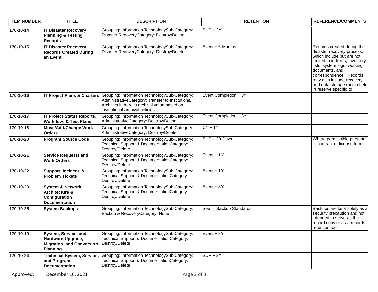| <b>ITEM NUMBER</b> | <b>TITLE</b>                                                                                     | <b>DESCRIPTION</b>                                                                                                                                                                                                 | <b>RETENTION</b>        | <b>REFERENCE/COMMENTS</b>                                                                                                                                                                                                                                                                |
|--------------------|--------------------------------------------------------------------------------------------------|--------------------------------------------------------------------------------------------------------------------------------------------------------------------------------------------------------------------|-------------------------|------------------------------------------------------------------------------------------------------------------------------------------------------------------------------------------------------------------------------------------------------------------------------------------|
| 170-10-14          | <b>IT Disaster Recovery</b><br><b>Planning &amp; Testing</b><br><b>Records</b>                   | Grouping: Information TechnologySub-Category:<br>Disaster RecoveryCategory: Destroy/Delete                                                                                                                         | $SUP + 3Y$              |                                                                                                                                                                                                                                                                                          |
| 170-10-15          | <b>IT Disaster Recovery</b><br><b>Records Created During</b><br>an Event                         | Grouping: Information TechnologySub-Category:<br>Disaster RecoveryCategory: Destroy/Delete                                                                                                                         | Event $+ 6$ Months      | Records created during the<br>disaster recovery process,<br>which include but are not<br>limited to indexes, inventory<br>lists, system logs, working<br>documents, and<br>correspondence. Records<br>may also include recovery<br>and data storage media held<br>in reserve specific to |
| 170-10-16          |                                                                                                  | IT Project Plans & Charters Grouping: Information TechnologySub-Category:<br>AdministrativeCategory: Transfer to Institutional<br>Archives if there is archival value based on<br>institutional archival policies. | Event Completion + 3Y   |                                                                                                                                                                                                                                                                                          |
| 170-10-17          | <b>IT Project Status Reports,</b><br><b>Workflow, &amp; Test Plans</b>                           | Grouping: Information TechnologySub-Category:<br>AdministrativeCategory: Destroy/Delete                                                                                                                            | Event Completion + 3Y   |                                                                                                                                                                                                                                                                                          |
| 170-10-18          | <b>Move/Add/Change Work</b><br><b>Orders</b>                                                     | Grouping: Information TechnologySub-Category:<br>AdministrativeCategory: Destroy/Delete                                                                                                                            | $CY + 1Y$               |                                                                                                                                                                                                                                                                                          |
| 170-10-20          | <b>Program Source Code</b>                                                                       | Grouping: Information TechnologySub-Category:<br>Technical Support & DocumentationCategory:<br>Destroy/Delete                                                                                                      | $SUP + 30$ Days         | Where permissible pursuant<br>to contract or license terms.                                                                                                                                                                                                                              |
| 170-10-21          | <b>Service Requests and</b><br><b>Work Orders</b>                                                | Grouping: Information TechnologySub-Category:<br>Technical Support & DocumentationCategory:<br>Destroy/Delete                                                                                                      | Event $+1Y$             |                                                                                                                                                                                                                                                                                          |
| 170-10-22          | Support, Incident, &<br><b>Problem Tickets</b>                                                   | Grouping: Information TechnologySub-Category:<br>Technical Support & DocumentationCategory:<br>Destroy/Delete                                                                                                      | Event $+1Y$             |                                                                                                                                                                                                                                                                                          |
| 170-10-23          | <b>System &amp; Network</b><br>Architecture &<br>Configuration<br><b>Documentation</b>           | Grouping: Information TechnologySub-Category:<br>Technical Support & DocumentationCategory:<br>Destroy/Delete                                                                                                      | $Event + 3Y$            |                                                                                                                                                                                                                                                                                          |
| 170-10-25          | <b>System Backups</b>                                                                            | Grouping: Information TechnologySub-Category:<br>Backup & RecoveryCategory: None                                                                                                                                   | See IT Backup Standards | Backups are kept solely as a<br>security precaution and not<br>intended to serve as the<br>record copy or as a records<br>retention tool.                                                                                                                                                |
| 170-10-19          | System, Service, and<br>Hardware Upgrade,<br><b>Migration, and Conversion</b><br><b>Planning</b> | Grouping: Information TechnologySub-Category:<br>Technical Support & DocumentationCategory:<br>Destroy/Delete                                                                                                      | Event + 3Y              |                                                                                                                                                                                                                                                                                          |
| 170-10-24          | <b>Technical System, Service,</b><br>and Program<br><b>Documentation</b>                         | Grouping: Information TechnologySub-Category:<br>Technical Support & DocumentationCategory:<br>Destroy/Delete                                                                                                      | $SUP + 3Y$              |                                                                                                                                                                                                                                                                                          |